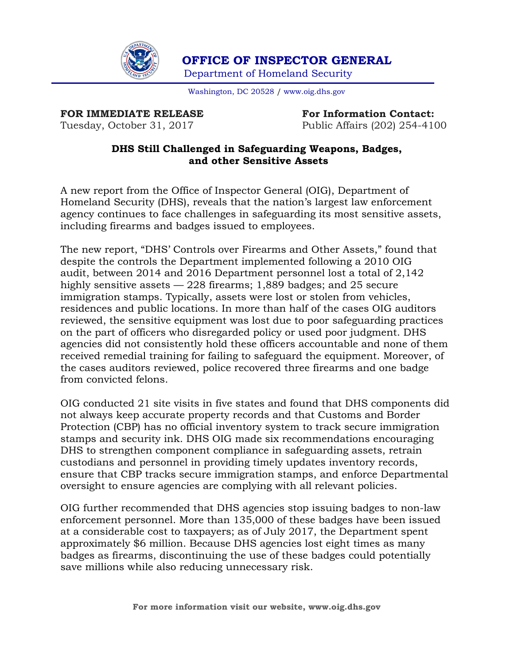

 **OFFICE OF INSPECTOR GENERAL** Department of Homeland Security

Washington, DC 20528 / [www.oig.dhs.gov](http://www.oig.dhs.gov/)

**FOR IMMEDIATE RELEASE For Information Contact:** 

Tuesday, October 31, 2017 Public Affairs (202) 254-4100

## **DHS Still Challenged in Safeguarding Weapons, Badges, and other Sensitive Assets**

A new report from the Office of Inspector General (OIG), Department of Homeland Security (DHS), reveals that the nation's largest law enforcement agency continues to face challenges in safeguarding its most sensitive assets, including firearms and badges issued to employees.

The new report, "DHS' Controls over Firearms and Other Assets," found that despite the controls the Department implemented following a 2010 OIG audit, between 2014 and 2016 Department personnel lost a total of 2,142 highly sensitive assets  $-228$  firearms; 1,889 badges; and 25 secure immigration stamps. Typically, assets were lost or stolen from vehicles, residences and public locations. In more than half of the cases OIG auditors reviewed, the sensitive equipment was lost due to poor safeguarding practices on the part of officers who disregarded policy or used poor judgment. DHS agencies did not consistently hold these officers accountable and none of them received remedial training for failing to safeguard the equipment. Moreover, of the cases auditors reviewed, police recovered three firearms and one badge from convicted felons.

OIG conducted 21 site visits in five states and found that DHS components did not always keep accurate property records and that Customs and Border Protection (CBP) has no official inventory system to track secure immigration stamps and security ink. DHS OIG made six recommendations encouraging DHS to strengthen component compliance in safeguarding assets, retrain custodians and personnel in providing timely updates inventory records, ensure that CBP tracks secure immigration stamps, and enforce Departmental oversight to ensure agencies are complying with all relevant policies.

OIG further recommended that DHS agencies stop issuing badges to non-law enforcement personnel. More than 135,000 of these badges have been issued at a considerable cost to taxpayers; as of July 2017, the Department spent approximately \$6 million. Because DHS agencies lost eight times as many badges as firearms, discontinuing the use of these badges could potentially save millions while also reducing unnecessary risk.